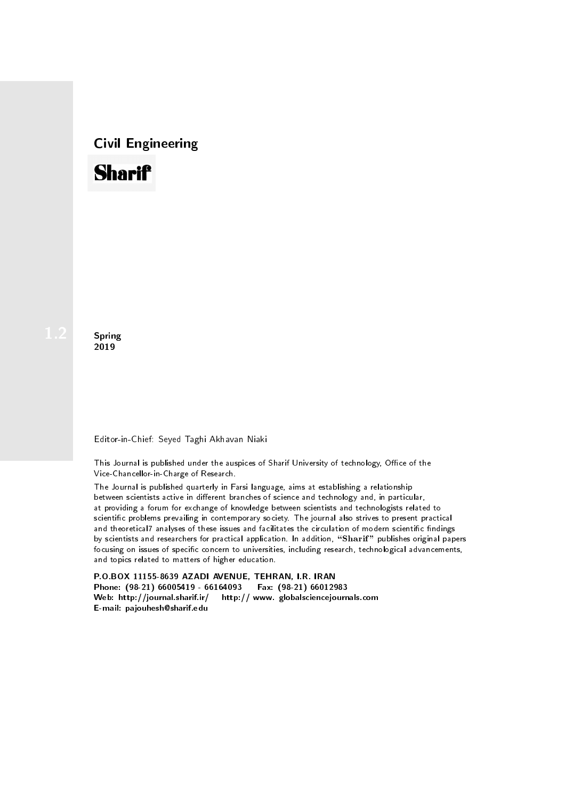# Civil Engineering



**Spring** 2019

#### Editor-in-Chief: Seyed Taghi Akhavan Niaki

This Journal is published under the auspices of Sharif University of technology, Office of the Vice-Chancellor-in-Charge of Research.

The Journal is published quarterly in Farsi language, aims at establishing a relationship between scientists active in different branches of science and technology and, in particular, at providing a forum for exchange of knowledge between scientists and technologists related to scientic problems prevailing in contemporary society. The journal also strives to present practical and theoretical7 analyses of these issues and facilitates the circulation of modern scientific findings by scientists and researchers for practical application. In addition, "Sharif" publishes original papers focusing on issues of specific concern to universities, including research, technological advancements, and topics related to matters of higher education.

P.O.BOX 11155-8639 AZADI AVENUE, TEHRAN, I.R. IRAN Phone: (98-21) 66005419 - 66164093 Fax: (98-21) 66012983 Web: http://journal.sharif.ir/ http:// www. globalsciencejournals.com E-mail: pajouhesh@sharif.edu